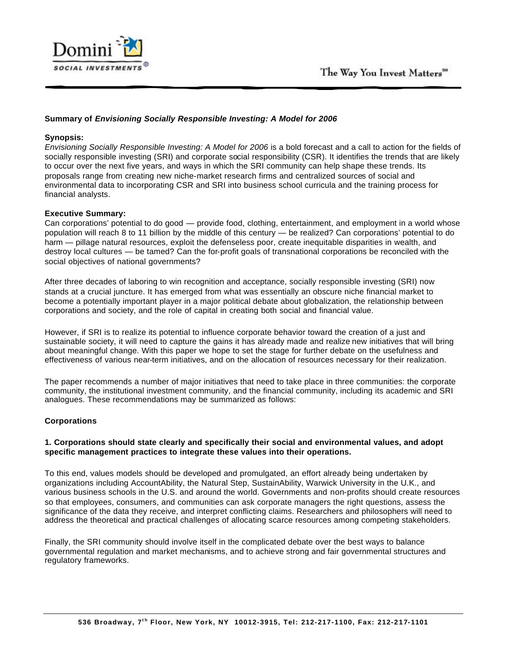

# **Summary of** *Envisioning Socially Responsible Investing: A Model for 2006*

## **Synopsis:**

*Envisioning Socially Responsible Investing: A Model for 2006* is a bold forecast and a call to action for the fields of socially responsible investing (SRI) and corporate social responsibility (CSR). It identifies the trends that are likely to occur over the next five years, and ways in which the SRI community can help shape these trends. Its proposals range from creating new niche-market research firms and centralized sources of social and environmental data to incorporating CSR and SRI into business school curricula and the training process for financial analysts.

# **Executive Summary:**

Can corporations' potential to do good — provide food, clothing, entertainment, and employment in a world whose population will reach 8 to 11 billion by the middle of this century — be realized? Can corporations' potential to do harm — pillage natural resources, exploit the defenseless poor, create inequitable disparities in wealth, and destroy local cultures — be tamed? Can the for-profit goals of transnational corporations be reconciled with the social objectives of national governments?

After three decades of laboring to win recognition and acceptance, socially responsible investing (SRI) now stands at a crucial juncture. It has emerged from what was essentially an obscure niche financial market to become a potentially important player in a major political debate about globalization, the relationship between corporations and society, and the role of capital in creating both social and financial value.

However, if SRI is to realize its potential to influence corporate behavior toward the creation of a just and sustainable society, it will need to capture the gains it has already made and realize new initiatives that will bring about meaningful change. With this paper we hope to set the stage for further debate on the usefulness and effectiveness of various near-term initiatives, and on the allocation of resources necessary for their realization.

The paper recommends a number of major initiatives that need to take place in three communities: the corporate community, the institutional investment community, and the financial community, including its academic and SRI analogues. These recommendations may be summarized as follows:

# **Corporations**

## **1. Corporations should state clearly and specifically their social and environmental values, and adopt specific management practices to integrate these values into their operations.**

To this end, values models should be developed and promulgated, an effort already being undertaken by organizations including AccountAbility, the Natural Step, SustainAbility, Warwick University in the U.K., and various business schools in the U.S. and around the world. Governments and non-profits should create resources so that employees, consumers, and communities can ask corporate managers the right questions, assess the significance of the data they receive, and interpret conflicting claims. Researchers and philosophers will need to address the theoretical and practical challenges of allocating scarce resources among competing stakeholders.

Finally, the SRI community should involve itself in the complicated debate over the best ways to balance governmental regulation and market mechanisms, and to achieve strong and fair governmental structures and regulatory frameworks.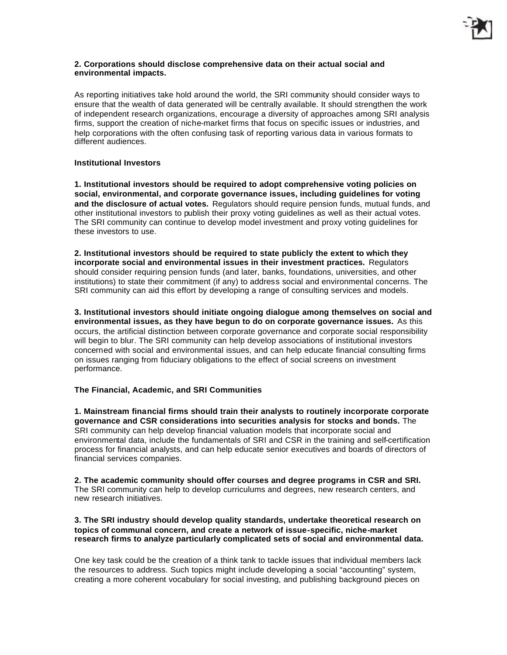

#### **2. Corporations should disclose comprehensive data on their actual social and environmental impacts.**

As reporting initiatives take hold around the world, the SRI community should consider ways to ensure that the wealth of data generated will be centrally available. It should strengthen the work of independent research organizations, encourage a diversity of approaches among SRI analysis firms, support the creation of niche-market firms that focus on specific issues or industries, and help corporations with the often confusing task of reporting various data in various formats to different audiences.

## **Institutional Investors**

**1. Institutional investors should be required to adopt comprehensive voting policies on social, environmental, and corporate governance issues, including guidelines for voting and the disclosure of actual votes.** Regulators should require pension funds, mutual funds, and other institutional investors to publish their proxy voting guidelines as well as their actual votes. The SRI community can continue to develop model investment and proxy voting guidelines for these investors to use.

**2. Institutional investors should be required to state publicly the extent to which they incorporate social and environmental issues in their investment practices.** Regulators should consider requiring pension funds (and later, banks, foundations, universities, and other institutions) to state their commitment (if any) to address social and environmental concerns. The SRI community can aid this effort by developing a range of consulting services and models.

**3. Institutional investors should initiate ongoing dialogue among themselves on social and environmental issues, as they have begun to do on corporate governance issues.** As this occurs, the artificial distinction between corporate governance and corporate social responsibility will begin to blur. The SRI community can help develop associations of institutional investors concerned with social and environmental issues, and can help educate financial consulting firms on issues ranging from fiduciary obligations to the effect of social screens on investment performance.

## **The Financial, Academic, and SRI Communities**

**1. Mainstream financial firms should train their analysts to routinely incorporate corporate governance and CSR considerations into securities analysis for stocks and bonds.** The SRI community can help develop financial valuation models that incorporate social and environmental data, include the fundamentals of SRI and CSR in the training and self-certification process for financial analysts, and can help educate senior executives and boards of directors of financial services companies.

**2. The academic community should offer courses and degree programs in CSR and SRI.** The SRI community can help to develop curriculums and degrees, new research centers, and new research initiatives.

### **3. The SRI industry should develop quality standards, undertake theoretical research on topics of communal concern, and create a network of issue-specific, niche-market research firms to analyze particularly complicated sets of social and environmental data.**

One key task could be the creation of a think tank to tackle issues that individual members lack the resources to address. Such topics might include developing a social "accounting" system, creating a more coherent vocabulary for social investing, and publishing background pieces on